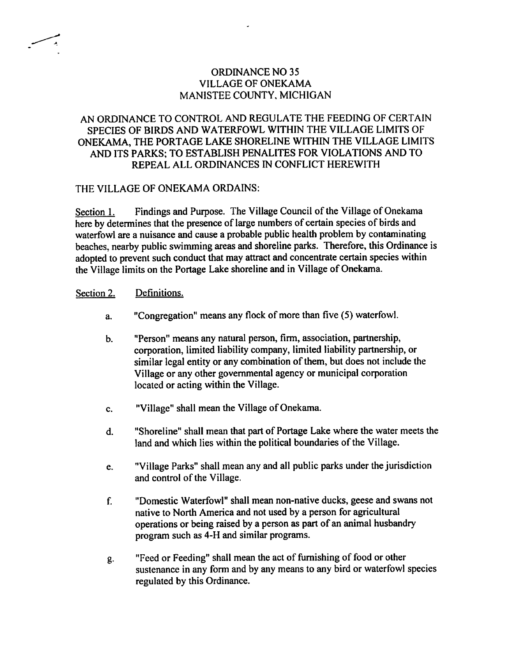# ORDINANCE NO <sup>35</sup> VILLAGE OF ONEKAMA MANISTEE COUNTY, MICHIGAN

# AN ORDINANCE TO CONTROL AND REGULATE THE FEEDING OF CERTAIN SPECIES OF BIRDS AND WATERFOWL WITHIN THE VILLAGE LIMITS OF ONEKAMA, THE PORTAGE LAKE SHORELINE WITHIN THE VILLAGE LIMITS AND ITS PARKS; TO ESTABLISH PENALITES FOR VIOLATIONS AND TO REPEAL ALL ORDINANCES IN CONFLICT HEREWITH

### THE VILLAGE OF ONEKAMA ORDAINS:

Section 1. Findings and Purpose. The Village Council of the Village of Onekama here by determines that the presence of large numbers of certain species of birds and waterfowl are a nuisance and cause a probable public health problem by contaminating beaches, nearby public swimming areas and shoreline parks. Therefore, this Ordinance is adopted to prevent such conduct that may attract and concentrate certain species within the Village limits on the Portage Lake shoreline and in Village of Onekama.

### Section 2. Definitions.

- a. "Congregation" means any flock of more than five (5) waterfowl.
- b. "Person" means any natural person, firm, association, partnership, corporation, limited liability company, limited liability partnership, or similar legal entity or any combination of them, but does not include the Village or any other governmental agency or municipal corporation located or acting within the Village.
- c. "Village" shall mean the Village of Onekama.
- d. "Shoreline" shall mean that part of Portage Lake where the water meets the land and which lies within the political boundaries of the Village.
- e. "Village Parks" shall mean any and all public parks under the jurisdiction and control of the Village.
- f. "Domestic Waterfowl" shall mean non-native ducks, geese and swans not native to North America and not used by a person for agricultural operations or being raised by a person as part of an animal husbandry program such as 4-H and similar programs.
- g. "Feed or Feeding" shall mean the act of furnishing of food or other sustenance in any form and by any means to any bird or waterfowl species regulated by this Ordinance.